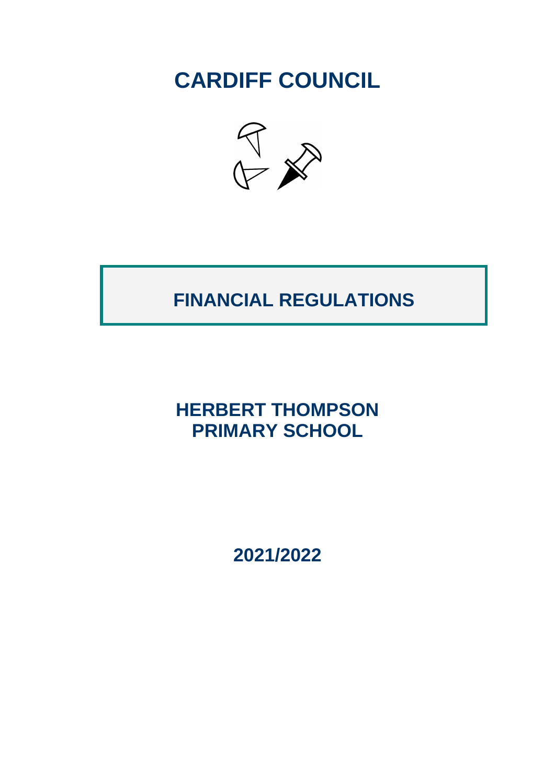**CARDIFF COUNCIL**



# **FINANCIAL REGULATIONS**

## **HERBERT THOMPSON PRIMARY SCHOOL**

**2021/2022**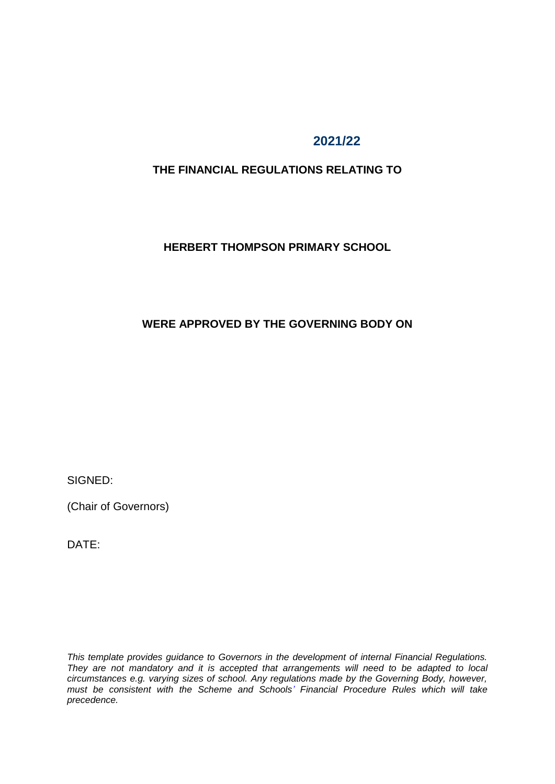## **2021/22**

## **THE FINANCIAL REGULATIONS RELATING TO**

#### **HERBERT THOMPSON PRIMARY SCHOOL**

## **WERE APPROVED BY THE GOVERNING BODY ON**

SIGNED:

(Chair of Governors)

DATE:

*This template provides guidance to Governors in the development of internal Financial Regulations. They are not mandatory and it is accepted that arrangements will need to be adapted to local circumstances e.g. varying sizes of school. Any regulations made by the Governing Body, however, must be consistent with the Scheme and Schools' Financial Procedure Rules which will take precedence.*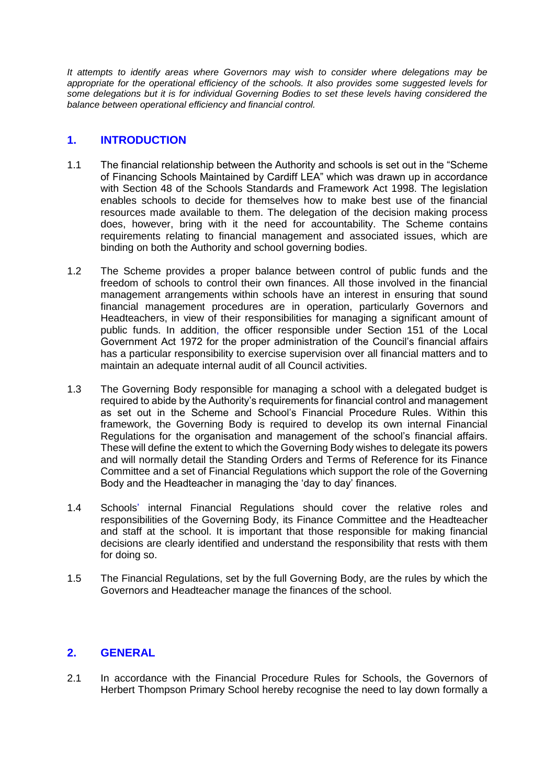*It attempts to identify areas where Governors may wish to consider where delegations may be appropriate for the operational efficiency of the schools. It also provides some suggested levels for some delegations but it is for individual Governing Bodies to set these levels having considered the balance between operational efficiency and financial control.* 

### **1. INTRODUCTION**

- 1.1 The financial relationship between the Authority and schools is set out in the "Scheme of Financing Schools Maintained by Cardiff LEA" which was drawn up in accordance with Section 48 of the Schools Standards and Framework Act 1998. The legislation enables schools to decide for themselves how to make best use of the financial resources made available to them. The delegation of the decision making process does, however, bring with it the need for accountability. The Scheme contains requirements relating to financial management and associated issues, which are binding on both the Authority and school governing bodies.
- 1.2 The Scheme provides a proper balance between control of public funds and the freedom of schools to control their own finances. All those involved in the financial management arrangements within schools have an interest in ensuring that sound financial management procedures are in operation, particularly Governors and Headteachers, in view of their responsibilities for managing a significant amount of public funds. In addition, the officer responsible under Section 151 of the Local Government Act 1972 for the proper administration of the Council's financial affairs has a particular responsibility to exercise supervision over all financial matters and to maintain an adequate internal audit of all Council activities.
- 1.3 The Governing Body responsible for managing a school with a delegated budget is required to abide by the Authority's requirements for financial control and management as set out in the Scheme and School's Financial Procedure Rules. Within this framework, the Governing Body is required to develop its own internal Financial Regulations for the organisation and management of the school's financial affairs. These will define the extent to which the Governing Body wishes to delegate its powers and will normally detail the Standing Orders and Terms of Reference for its Finance Committee and a set of Financial Regulations which support the role of the Governing Body and the Headteacher in managing the 'day to day' finances.
- 1.4 Schools' internal Financial Regulations should cover the relative roles and responsibilities of the Governing Body, its Finance Committee and the Headteacher and staff at the school. It is important that those responsible for making financial decisions are clearly identified and understand the responsibility that rests with them for doing so.
- 1.5 The Financial Regulations, set by the full Governing Body, are the rules by which the Governors and Headteacher manage the finances of the school.

#### **2. GENERAL**

2.1 In accordance with the Financial Procedure Rules for Schools, the Governors of Herbert Thompson Primary School hereby recognise the need to lay down formally a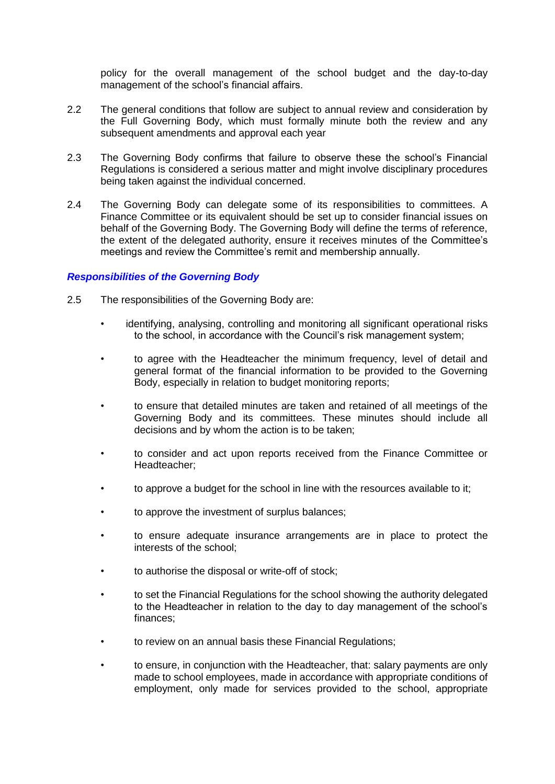policy for the overall management of the school budget and the day-to-day management of the school's financial affairs.

- 2.2 The general conditions that follow are subject to annual review and consideration by the Full Governing Body, which must formally minute both the review and any subsequent amendments and approval each year
- 2.3 The Governing Body confirms that failure to observe these the school's Financial Regulations is considered a serious matter and might involve disciplinary procedures being taken against the individual concerned.
- 2.4 The Governing Body can delegate some of its responsibilities to committees. A Finance Committee or its equivalent should be set up to consider financial issues on behalf of the Governing Body. The Governing Body will define the terms of reference, the extent of the delegated authority, ensure it receives minutes of the Committee's meetings and review the Committee's remit and membership annually.

#### *Responsibilities of the Governing Body*

- 2.5 The responsibilities of the Governing Body are:
	- identifying, analysing, controlling and monitoring all significant operational risks to the school, in accordance with the Council's risk management system;
	- to agree with the Headteacher the minimum frequency, level of detail and general format of the financial information to be provided to the Governing Body, especially in relation to budget monitoring reports;
	- to ensure that detailed minutes are taken and retained of all meetings of the Governing Body and its committees. These minutes should include all decisions and by whom the action is to be taken;
	- to consider and act upon reports received from the Finance Committee or Headteacher;
	- to approve a budget for the school in line with the resources available to it;
	- to approve the investment of surplus balances;
	- to ensure adequate insurance arrangements are in place to protect the interests of the school;
	- to authorise the disposal or write-off of stock;
	- to set the Financial Regulations for the school showing the authority delegated to the Headteacher in relation to the day to day management of the school's finances;
	- to review on an annual basis these Financial Regulations;
	- to ensure, in conjunction with the Headteacher, that: salary payments are only made to school employees, made in accordance with appropriate conditions of employment, only made for services provided to the school, appropriate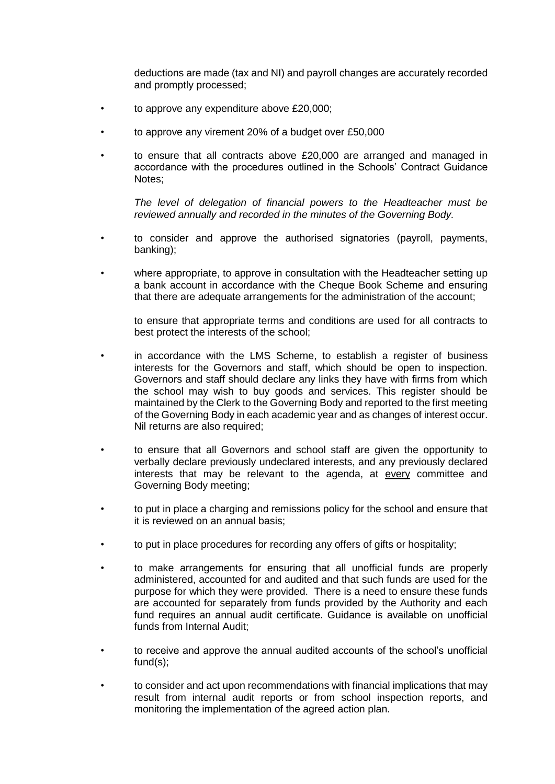deductions are made (tax and NI) and payroll changes are accurately recorded and promptly processed;

- to approve any expenditure above £20,000;
- to approve any virement 20% of a budget over £50,000
- to ensure that all contracts above £20,000 are arranged and managed in accordance with the procedures outlined in the Schools' Contract Guidance Notes;

*The level of delegation of financial powers to the Headteacher must be reviewed annually and recorded in the minutes of the Governing Body.* 

- to consider and approve the authorised signatories (payroll, payments, banking);
- where appropriate, to approve in consultation with the Headteacher setting up a bank account in accordance with the Cheque Book Scheme and ensuring that there are adequate arrangements for the administration of the account;

to ensure that appropriate terms and conditions are used for all contracts to best protect the interests of the school;

- in accordance with the LMS Scheme, to establish a register of business interests for the Governors and staff, which should be open to inspection. Governors and staff should declare any links they have with firms from which the school may wish to buy goods and services. This register should be maintained by the Clerk to the Governing Body and reported to the first meeting of the Governing Body in each academic year and as changes of interest occur. Nil returns are also required;
- to ensure that all Governors and school staff are given the opportunity to verbally declare previously undeclared interests, and any previously declared interests that may be relevant to the agenda, at every committee and Governing Body meeting;
- to put in place a charging and remissions policy for the school and ensure that it is reviewed on an annual basis;
- to put in place procedures for recording any offers of gifts or hospitality;
- to make arrangements for ensuring that all unofficial funds are properly administered, accounted for and audited and that such funds are used for the purpose for which they were provided. There is a need to ensure these funds are accounted for separately from funds provided by the Authority and each fund requires an annual audit certificate. Guidance is available on unofficial funds from Internal Audit;
- to receive and approve the annual audited accounts of the school's unofficial fund(s);
- to consider and act upon recommendations with financial implications that may result from internal audit reports or from school inspection reports, and monitoring the implementation of the agreed action plan.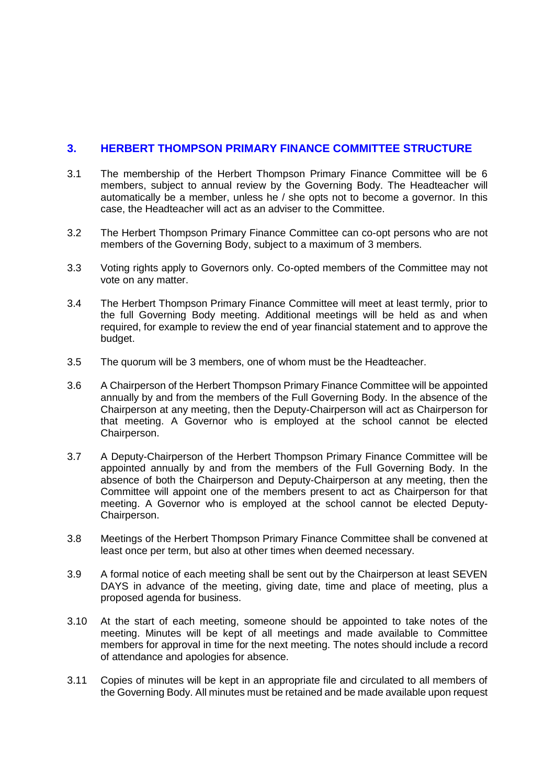### **3. HERBERT THOMPSON PRIMARY FINANCE COMMITTEE STRUCTURE**

- 3.1 The membership of the Herbert Thompson Primary Finance Committee will be 6 members, subject to annual review by the Governing Body. The Headteacher will automatically be a member, unless he / she opts not to become a governor. In this case, the Headteacher will act as an adviser to the Committee.
- 3.2 The Herbert Thompson Primary Finance Committee can co-opt persons who are not members of the Governing Body, subject to a maximum of 3 members.
- 3.3 Voting rights apply to Governors only. Co-opted members of the Committee may not vote on any matter.
- 3.4 The Herbert Thompson Primary Finance Committee will meet at least termly, prior to the full Governing Body meeting. Additional meetings will be held as and when required, for example to review the end of year financial statement and to approve the budget.
- 3.5 The quorum will be 3 members, one of whom must be the Headteacher.
- 3.6 A Chairperson of the Herbert Thompson Primary Finance Committee will be appointed annually by and from the members of the Full Governing Body. In the absence of the Chairperson at any meeting, then the Deputy-Chairperson will act as Chairperson for that meeting. A Governor who is employed at the school cannot be elected Chairperson.
- 3.7 A Deputy-Chairperson of the Herbert Thompson Primary Finance Committee will be appointed annually by and from the members of the Full Governing Body. In the absence of both the Chairperson and Deputy-Chairperson at any meeting, then the Committee will appoint one of the members present to act as Chairperson for that meeting. A Governor who is employed at the school cannot be elected Deputy-Chairperson.
- 3.8 Meetings of the Herbert Thompson Primary Finance Committee shall be convened at least once per term, but also at other times when deemed necessary.
- 3.9 A formal notice of each meeting shall be sent out by the Chairperson at least SEVEN DAYS in advance of the meeting, giving date, time and place of meeting, plus a proposed agenda for business.
- 3.10 At the start of each meeting, someone should be appointed to take notes of the meeting. Minutes will be kept of all meetings and made available to Committee members for approval in time for the next meeting. The notes should include a record of attendance and apologies for absence.
- 3.11 Copies of minutes will be kept in an appropriate file and circulated to all members of the Governing Body. All minutes must be retained and be made available upon request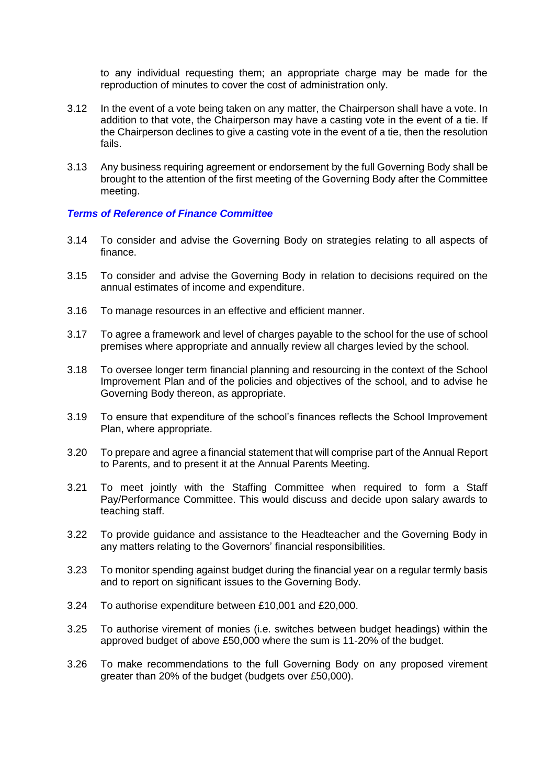to any individual requesting them; an appropriate charge may be made for the reproduction of minutes to cover the cost of administration only.

- 3.12 In the event of a vote being taken on any matter, the Chairperson shall have a vote. In addition to that vote, the Chairperson may have a casting vote in the event of a tie. If the Chairperson declines to give a casting vote in the event of a tie, then the resolution fails.
- 3.13 Any business requiring agreement or endorsement by the full Governing Body shall be brought to the attention of the first meeting of the Governing Body after the Committee meeting.

#### *Terms of Reference of Finance Committee*

- 3.14 To consider and advise the Governing Body on strategies relating to all aspects of finance.
- 3.15 To consider and advise the Governing Body in relation to decisions required on the annual estimates of income and expenditure.
- 3.16 To manage resources in an effective and efficient manner.
- 3.17 To agree a framework and level of charges payable to the school for the use of school premises where appropriate and annually review all charges levied by the school.
- 3.18 To oversee longer term financial planning and resourcing in the context of the School Improvement Plan and of the policies and objectives of the school, and to advise he Governing Body thereon, as appropriate.
- 3.19 To ensure that expenditure of the school's finances reflects the School Improvement Plan, where appropriate.
- 3.20 To prepare and agree a financial statement that will comprise part of the Annual Report to Parents, and to present it at the Annual Parents Meeting.
- 3.21 To meet jointly with the Staffing Committee when required to form a Staff Pay/Performance Committee. This would discuss and decide upon salary awards to teaching staff.
- 3.22 To provide guidance and assistance to the Headteacher and the Governing Body in any matters relating to the Governors' financial responsibilities.
- 3.23 To monitor spending against budget during the financial year on a regular termly basis and to report on significant issues to the Governing Body.
- 3.24 To authorise expenditure between £10,001 and £20,000.
- 3.25 To authorise virement of monies (i.e. switches between budget headings) within the approved budget of above £50,000 where the sum is 11-20% of the budget.
- 3.26 To make recommendations to the full Governing Body on any proposed virement greater than 20% of the budget (budgets over £50,000).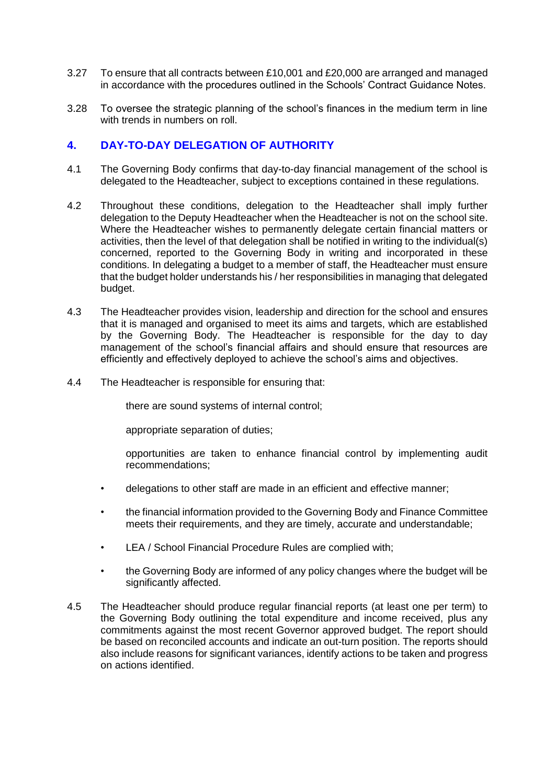- 3.27 To ensure that all contracts between £10,001 and £20,000 are arranged and managed in accordance with the procedures outlined in the Schools' Contract Guidance Notes.
- 3.28 To oversee the strategic planning of the school's finances in the medium term in line with trends in numbers on roll

#### **4. DAY-TO-DAY DELEGATION OF AUTHORITY**

- 4.1 The Governing Body confirms that day-to-day financial management of the school is delegated to the Headteacher, subject to exceptions contained in these regulations.
- 4.2 Throughout these conditions, delegation to the Headteacher shall imply further delegation to the Deputy Headteacher when the Headteacher is not on the school site. Where the Headteacher wishes to permanently delegate certain financial matters or activities, then the level of that delegation shall be notified in writing to the individual(s) concerned, reported to the Governing Body in writing and incorporated in these conditions. In delegating a budget to a member of staff, the Headteacher must ensure that the budget holder understands his / her responsibilities in managing that delegated budget.
- 4.3 The Headteacher provides vision, leadership and direction for the school and ensures that it is managed and organised to meet its aims and targets, which are established by the Governing Body. The Headteacher is responsible for the day to day management of the school's financial affairs and should ensure that resources are efficiently and effectively deployed to achieve the school's aims and objectives.
- 4.4 The Headteacher is responsible for ensuring that:

there are sound systems of internal control;

appropriate separation of duties;

opportunities are taken to enhance financial control by implementing audit recommendations;

- delegations to other staff are made in an efficient and effective manner;
- the financial information provided to the Governing Body and Finance Committee meets their requirements, and they are timely, accurate and understandable;
- LEA / School Financial Procedure Rules are complied with:
- the Governing Body are informed of any policy changes where the budget will be significantly affected.
- 4.5 The Headteacher should produce regular financial reports (at least one per term) to the Governing Body outlining the total expenditure and income received, plus any commitments against the most recent Governor approved budget. The report should be based on reconciled accounts and indicate an out-turn position. The reports should also include reasons for significant variances, identify actions to be taken and progress on actions identified.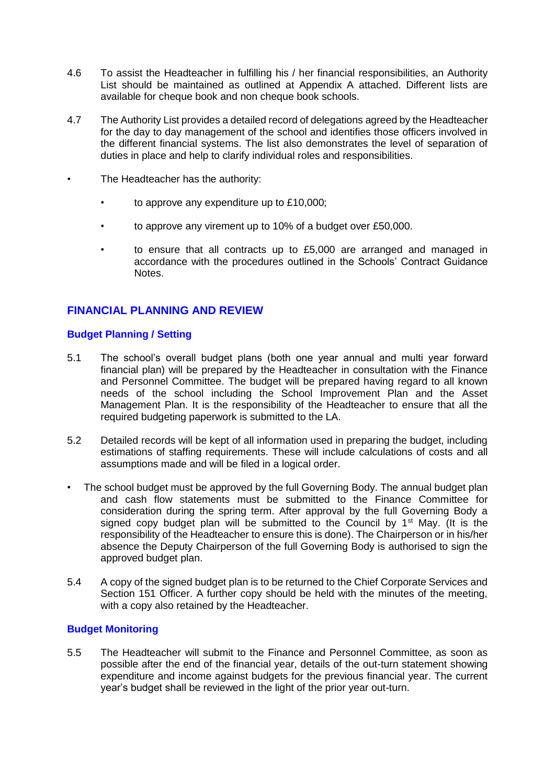- 4.6 To assist the Headteacher in fulfilling his / her financial responsibilities, an Authority List should be maintained as outlined at Appendix A attached. Different lists are available for cheque book and non cheque book schools.
- 4.7 The Authority List provides a detailed record of delegations agreed by the Headteacher for the day to day management of the school and identifies those officers involved in the different financial systems. The list also demonstrates the level of separation of duties in place and help to clarify individual roles and responsibilities.
- The Headteacher has the authority:
	- to approve any expenditure up to £10,000;
	- to approve any virement up to 10% of a budget over £50,000.
	- to ensure that all contracts up to £5,000 are arranged and managed in accordance with the procedures outlined in the Schools' Contract Guidance Notes.

## **FINANCIAL PLANNING AND REVIEW**

#### **Budget Planning / Setting**

- 5.1 The school's overall budget plans (both one year annual and multi year forward financial plan) will be prepared by the Headteacher in consultation with the Finance and Personnel Committee. The budget will be prepared having regard to all known needs of the school including the School Improvement Plan and the Asset Management Plan. It is the responsibility of the Headteacher to ensure that all the required budgeting paperwork is submitted to the LA.
- 5.2 Detailed records will be kept of all information used in preparing the budget, including estimations of staffing requirements. These will include calculations of costs and all assumptions made and will be filed in a logical order.
- The school budget must be approved by the full Governing Body. The annual budget plan and cash flow statements must be submitted to the Finance Committee for consideration during the spring term. After approval by the full Governing Body a signed copy budget plan will be submitted to the Council by  $1<sup>st</sup>$  May. (It is the responsibility of the Headteacher to ensure this is done). The Chairperson or in his/her absence the Deputy Chairperson of the full Governing Body is authorised to sign the approved budget plan.
- 5.4 A copy of the signed budget plan is to be returned to the Chief Corporate Services and Section 151 Officer. A further copy should be held with the minutes of the meeting, with a copy also retained by the Headteacher.

#### **Budget Monitoring**

5.5 The Headteacher will submit to the Finance and Personnel Committee, as soon as possible after the end of the financial year, details of the out-turn statement showing expenditure and income against budgets for the previous financial year. The current year's budget shall be reviewed in the light of the prior year out-turn.